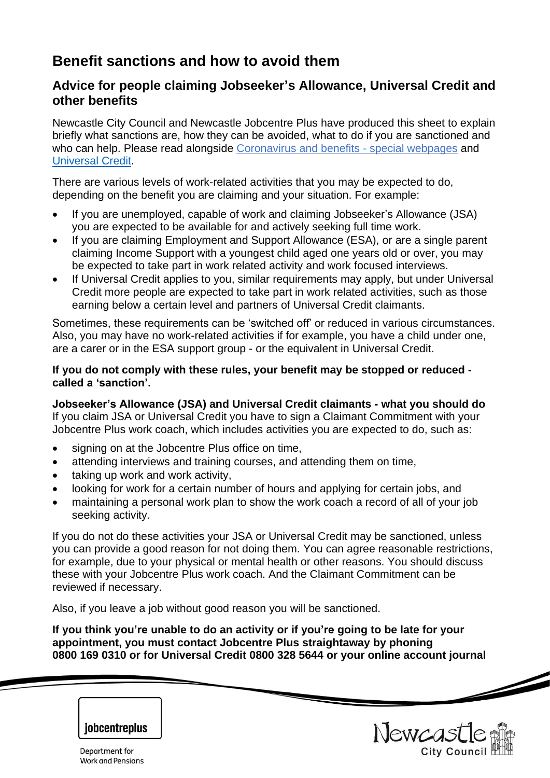# **Benefit sanctions and how to avoid them**

# **Advice for people claiming Jobseeker's Allowance, Universal Credit and other benefits**

Newcastle City Council and Newcastle Jobcentre Plus have produced this sheet to explain briefly what sanctions are, how they can be avoided, what to do if you are sanctioned and who can help. Please read alongside [Coronavirus and benefits -](https://www.newcastle.gov.uk/services/welfare-benefits/welfare-rights-and-money-advice/coronavirus-and-benefits-special-page) special webpages and [Universal Credit.](https://www.newcastle.gov.uk/services/welfare-benefits/welfare-rights-and-money-advice/changes-benefits-system/universal-0)

There are various levels of work-related activities that you may be expected to do, depending on the benefit you are claiming and your situation. For example:

- If you are unemployed, capable of work and claiming Jobseeker's Allowance (JSA) you are expected to be available for and actively seeking full time work.
- If you are claiming Employment and Support Allowance (ESA), or are a single parent claiming Income Support with a youngest child aged one years old or over, you may be expected to take part in work related activity and work focused interviews.
- If Universal Credit applies to you, similar requirements may apply, but under Universal Credit more people are expected to take part in work related activities, such as those earning below a certain level and partners of Universal Credit claimants.

Sometimes, these requirements can be 'switched off' or reduced in various circumstances. Also, you may have no work-related activities if for example, you have a child under one, are a carer or in the ESA support group - or the equivalent in Universal Credit.

#### **If you do not comply with these rules, your benefit may be stopped or reduced called a 'sanction'.**

**Jobseeker's Allowance (JSA) and Universal Credit claimants - what you should do** If you claim JSA or Universal Credit you have to sign a Claimant Commitment with your Jobcentre Plus work coach, which includes activities you are expected to do, such as:

- signing on at the Jobcentre Plus office on time.
- attending interviews and training courses, and attending them on time,
- taking up work and work activity,
- looking for work for a certain number of hours and applying for certain jobs, and
- maintaining a personal work plan to show the work coach a record of all of your job seeking activity.

If you do not do these activities your JSA or Universal Credit may be sanctioned, unless you can provide a good reason for not doing them. You can agree reasonable restrictions, for example, due to your physical or mental health or other reasons. You should discuss these with your Jobcentre Plus work coach. And the Claimant Commitment can be reviewed if necessary.

Also, if you leave a job without good reason you will be sanctioned.

**If you think you're unable to do an activity or if you're going to be late for your appointment, you must contact Jobcentre Plus straightaway by phoning 0800 169 0310 or for Universal Credit 0800 328 5644 or your online account journal**

Newcast

# **jobcentreplus**

Department for Work and Pensions